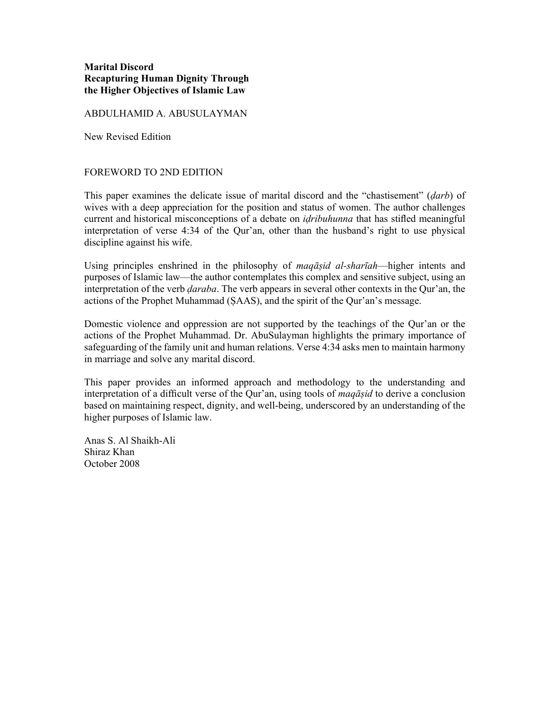# **Marital Discord Recapturing Human Dignity Through the Higher Objectives of Islamic Law**

ABDULHAMID A. ABUSULAYMAN

New Revised Edition

### FOREWORD TO 2ND EDITION

This paper examines the delicate issue of marital discord and the "chastisement" (*ḍarb*) of wives with a deep appreciation for the position and status of women. The author challenges current and historical misconceptions of a debate on *iḍribuhunna* that has stifled meaningful interpretation of verse 4:34 of the Qur'an, other than the husband's right to use physical discipline against his wife.

Using principles enshrined in the philosophy of *maqāṣid al-sharīah*—higher intents and purposes of Islamic law—the author contemplates this complex and sensitive subject, using an interpretation of the verb *ḍaraba*. The verb appears in several other contexts in the Qur'an, the actions of the Prophet Muhammad (ṢAAS), and the spirit of the Qur'an's message.

Domestic violence and oppression are not supported by the teachings of the Qur'an or the actions of the Prophet Muhammad. Dr. AbuSulayman highlights the primary importance of safeguarding of the family unit and human relations. Verse 4:34 asks men to maintain harmony in marriage and solve any marital discord.

This paper provides an informed approach and methodology to the understanding and interpretation of a difficult verse of the Qur'an, using tools of *maqāṣid* to derive a conclusion based on maintaining respect, dignity, and well-being, underscored by an understanding of the higher purposes of Islamic law.

Anas S. Al Shaikh-Ali Shiraz Khan October 2008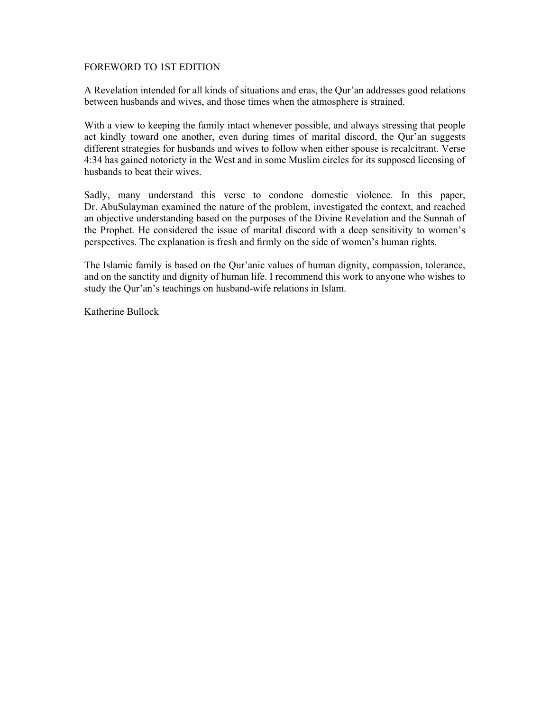### FOREWORD TO 1ST EDITION

A Revelation intended for all kinds of situations and eras, the Qur'an addresses good relations between husbands and wives, and those times when the atmosphere is strained.

With a view to keeping the family intact whenever possible, and always stressing that people act kindly toward one another, even during times of marital discord, the Qur'an suggests different strategies for husbands and wives to follow when either spouse is recalcitrant. Verse 4:34 has gained notoriety in the West and in some Muslim circles for its supposed licensing of husbands to beat their wives.

Sadly, many understand this verse to condone domestic violence. In this paper, Dr. AbuSulayman examined the nature of the problem, investigated the context, and reached an objective understanding based on the purposes of the Divine Revelation and the Sunnah of the Prophet. He considered the issue of marital discord with a deep sensitivity to women's perspectives. The explanation is fresh and firmly on the side of women's human rights.

The Islamic family is based on the Qur'anic values of human dignity, compassion, tolerance, and on the sanctity and dignity of human life. I recommend this work to anyone who wishes to study the Qur'an's teachings on husband-wife relations in Islam.

Katherine Bullock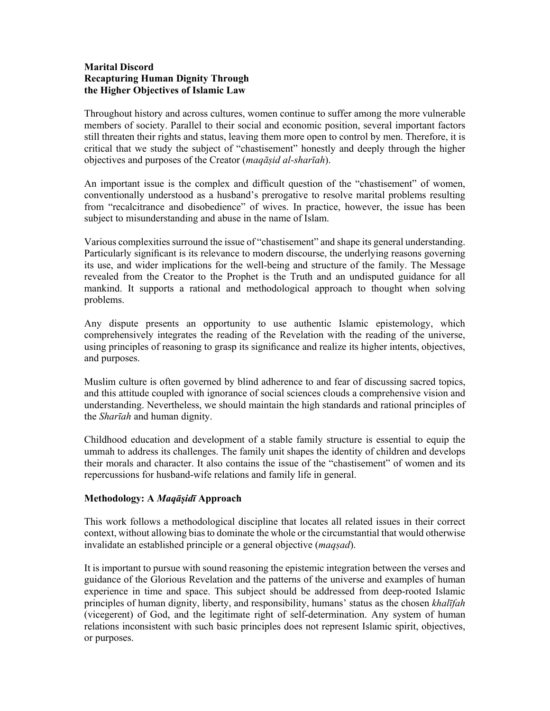# **Marital Discord Recapturing Human Dignity Through the Higher Objectives of Islamic Law**

Throughout history and across cultures, women continue to suffer among the more vulnerable members of society. Parallel to their social and economic position, several important factors still threaten their rights and status, leaving them more open to control by men. Therefore, it is critical that we study the subject of "chastisement" honestly and deeply through the higher objectives and purposes of the Creator (*maqāṣid al-sharīah*).

An important issue is the complex and difficult question of the "chastisement" of women, conventionally understood as a husband's prerogative to resolve marital problems resulting from "recalcitrance and disobedience" of wives. In practice, however, the issue has been subject to misunderstanding and abuse in the name of Islam.

Various complexities surround the issue of "chastisement" and shape its general understanding. Particularly significant is its relevance to modern discourse, the underlying reasons governing its use, and wider implications for the well-being and structure of the family. The Message revealed from the Creator to the Prophet is the Truth and an undisputed guidance for all mankind. It supports a rational and methodological approach to thought when solving problems.

Any dispute presents an opportunity to use authentic Islamic epistemology, which comprehensively integrates the reading of the Revelation with the reading of the universe, using principles of reasoning to grasp its significance and realize its higher intents, objectives, and purposes.

Muslim culture is often governed by blind adherence to and fear of discussing sacred topics, and this attitude coupled with ignorance of social sciences clouds a comprehensive vision and understanding. Nevertheless, we should maintain the high standards and rational principles of the *Sharīah* and human dignity.

Childhood education and development of a stable family structure is essential to equip the ummah to address its challenges. The family unit shapes the identity of children and develops their morals and character. It also contains the issue of the "chastisement" of women and its repercussions for husband-wife relations and family life in general.

# **Methodology: A** *Maqāṣidī* **Approach**

This work follows a methodological discipline that locates all related issues in their correct context, without allowing bias to dominate the whole or the circumstantial that would otherwise invalidate an established principle or a general objective (*maqṣad*).

It is important to pursue with sound reasoning the epistemic integration between the verses and guidance of the Glorious Revelation and the patterns of the universe and examples of human experience in time and space. This subject should be addressed from deep-rooted Islamic principles of human dignity, liberty, and responsibility, humans' status as the chosen *khalīfah* (vicegerent) of God, and the legitimate right of self-determination. Any system of human relations inconsistent with such basic principles does not represent Islamic spirit, objectives, or purposes.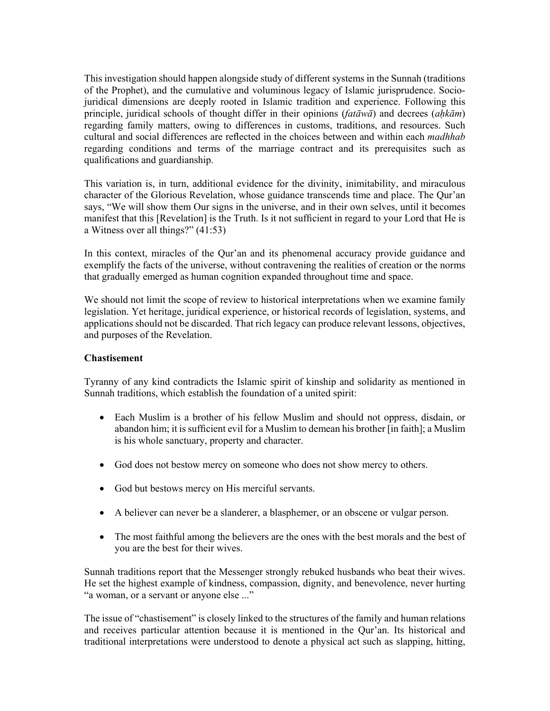This investigation should happen alongside study of different systems in the Sunnah (traditions of the Prophet), and the cumulative and voluminous legacy of Islamic jurisprudence. Sociojuridical dimensions are deeply rooted in Islamic tradition and experience. Following this principle, juridical schools of thought differ in their opinions (*fatāwā*) and decrees (*aḥkām*) regarding family matters, owing to differences in customs, traditions, and resources. Such cultural and social differences are reflected in the choices between and within each *madhhab* regarding conditions and terms of the marriage contract and its prerequisites such as qualifications and guardianship.

This variation is, in turn, additional evidence for the divinity, inimitability, and miraculous character of the Glorious Revelation, whose guidance transcends time and place. The Qur'an says, "We will show them Our signs in the universe, and in their own selves, until it becomes manifest that this [Revelation] is the Truth. Is it not sufficient in regard to your Lord that He is a Witness over all things?" (41:53)

In this context, miracles of the Qur'an and its phenomenal accuracy provide guidance and exemplify the facts of the universe, without contravening the realities of creation or the norms that gradually emerged as human cognition expanded throughout time and space.

We should not limit the scope of review to historical interpretations when we examine family legislation. Yet heritage, juridical experience, or historical records of legislation, systems, and applications should not be discarded. That rich legacy can produce relevant lessons, objectives, and purposes of the Revelation.

#### **Chastisement**

Tyranny of any kind contradicts the Islamic spirit of kinship and solidarity as mentioned in Sunnah traditions, which establish the foundation of a united spirit:

- Each Muslim is a brother of his fellow Muslim and should not oppress, disdain, or abandon him; it is sufficient evil for a Muslim to demean his brother [in faith]; a Muslim is his whole sanctuary, property and character.
- God does not bestow mercy on someone who does not show mercy to others.
- God but bestows mercy on His merciful servants.
- A believer can never be a slanderer, a blasphemer, or an obscene or vulgar person.
- The most faithful among the believers are the ones with the best morals and the best of you are the best for their wives.

Sunnah traditions report that the Messenger strongly rebuked husbands who beat their wives. He set the highest example of kindness, compassion, dignity, and benevolence, never hurting "a woman, or a servant or anyone else ..."

The issue of "chastisement" is closely linked to the structures of the family and human relations and receives particular attention because it is mentioned in the Qur'an. Its historical and traditional interpretations were understood to denote a physical act such as slapping, hitting,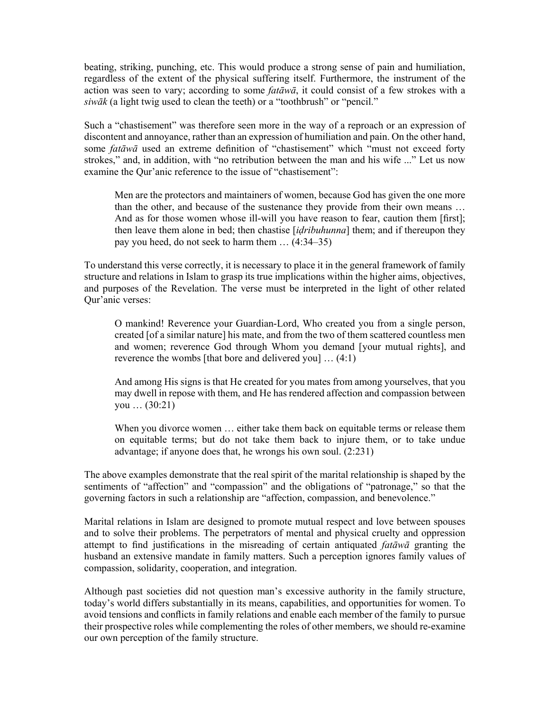beating, striking, punching, etc. This would produce a strong sense of pain and humiliation, regardless of the extent of the physical suffering itself. Furthermore, the instrument of the action was seen to vary; according to some *fatāwā*, it could consist of a few strokes with a *siwāk* (a light twig used to clean the teeth) or a "toothbrush" or "pencil."

Such a "chastisement" was therefore seen more in the way of a reproach or an expression of discontent and annoyance, rather than an expression of humiliation and pain. On the other hand, some *fatāwā* used an extreme definition of "chastisement" which "must not exceed forty strokes," and, in addition, with "no retribution between the man and his wife ..." Let us now examine the Qur'anic reference to the issue of "chastisement":

Men are the protectors and maintainers of women, because God has given the one more than the other, and because of the sustenance they provide from their own means … And as for those women whose ill-will you have reason to fear, caution them [first]; then leave them alone in bed; then chastise [*iḍribuhunna*] them; and if thereupon they pay you heed, do not seek to harm them … (4:34‒35)

To understand this verse correctly, it is necessary to place it in the general framework of family structure and relations in Islam to grasp its true implications within the higher aims, objectives, and purposes of the Revelation. The verse must be interpreted in the light of other related Qur'anic verses:

O mankind! Reverence your Guardian-Lord, Who created you from a single person, created [of a similar nature] his mate, and from the two of them scattered countless men and women; reverence God through Whom you demand [your mutual rights], and reverence the wombs [that bore and delivered you] … (4:1)

And among His signs is that He created for you mates from among yourselves, that you may dwell in repose with them, and He has rendered affection and compassion between you … (30:21)

When you divorce women ... either take them back on equitable terms or release them on equitable terms; but do not take them back to injure them, or to take undue advantage; if anyone does that, he wrongs his own soul. (2:231)

The above examples demonstrate that the real spirit of the marital relationship is shaped by the sentiments of "affection" and "compassion" and the obligations of "patronage," so that the governing factors in such a relationship are "affection, compassion, and benevolence."

Marital relations in Islam are designed to promote mutual respect and love between spouses and to solve their problems. The perpetrators of mental and physical cruelty and oppression attempt to find justifications in the misreading of certain antiquated *fatāwā* granting the husband an extensive mandate in family matters. Such a perception ignores family values of compassion, solidarity, cooperation, and integration.

Although past societies did not question man's excessive authority in the family structure, today's world differs substantially in its means, capabilities, and opportunities for women. To avoid tensions and conflicts in family relations and enable each member of the family to pursue their prospective roles while complementing the roles of other members, we should re-examine our own perception of the family structure.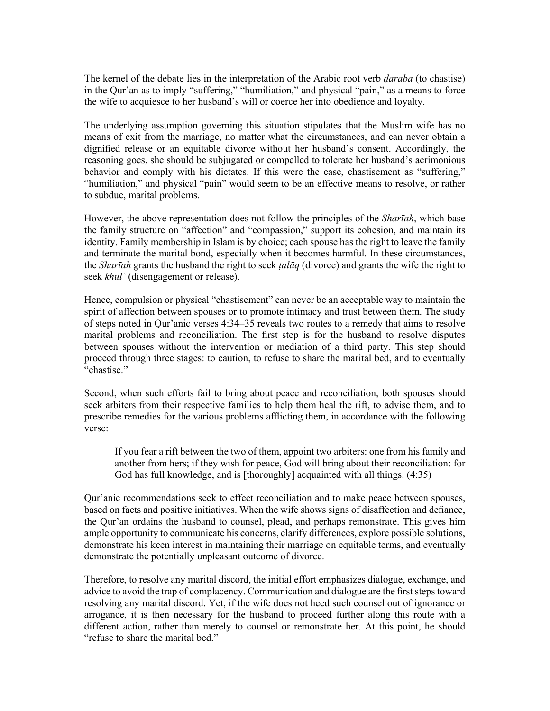The kernel of the debate lies in the interpretation of the Arabic root verb *ḍaraba* (to chastise) in the Qur'an as to imply "suffering," "humiliation," and physical "pain," as a means to force the wife to acquiesce to her husband's will or coerce her into obedience and loyalty.

The underlying assumption governing this situation stipulates that the Muslim wife has no means of exit from the marriage, no matter what the circumstances, and can never obtain a dignified release or an equitable divorce without her husband's consent. Accordingly, the reasoning goes, she should be subjugated or compelled to tolerate her husband's acrimonious behavior and comply with his dictates. If this were the case, chastisement as "suffering," "humiliation," and physical "pain" would seem to be an effective means to resolve, or rather to subdue, marital problems.

However, the above representation does not follow the principles of the *Sharīah*, which base the family structure on "affection" and "compassion," support its cohesion, and maintain its identity. Family membership in Islam is by choice; each spouse has the right to leave the family and terminate the marital bond, especially when it becomes harmful. In these circumstances, the *Sharīah* grants the husband the right to seek *ṭalāq* (divorce) and grants the wife the right to seek *khulʿ* (disengagement or release).

Hence, compulsion or physical "chastisement" can never be an acceptable way to maintain the spirit of affection between spouses or to promote intimacy and trust between them. The study of steps noted in Qur'anic verses 4:34‒35 reveals two routes to a remedy that aims to resolve marital problems and reconciliation. The first step is for the husband to resolve disputes between spouses without the intervention or mediation of a third party. This step should proceed through three stages: to caution, to refuse to share the marital bed, and to eventually "chastise."

Second, when such efforts fail to bring about peace and reconciliation, both spouses should seek arbiters from their respective families to help them heal the rift, to advise them, and to prescribe remedies for the various problems afflicting them, in accordance with the following verse:

If you fear a rift between the two of them, appoint two arbiters: one from his family and another from hers; if they wish for peace, God will bring about their reconciliation: for God has full knowledge, and is [thoroughly] acquainted with all things. (4:35)

Qur'anic recommendations seek to effect reconciliation and to make peace between spouses, based on facts and positive initiatives. When the wife shows signs of disaffection and defiance, the Qur'an ordains the husband to counsel, plead, and perhaps remonstrate. This gives him ample opportunity to communicate his concerns, clarify differences, explore possible solutions, demonstrate his keen interest in maintaining their marriage on equitable terms, and eventually demonstrate the potentially unpleasant outcome of divorce.

Therefore, to resolve any marital discord, the initial effort emphasizes dialogue, exchange, and advice to avoid the trap of complacency. Communication and dialogue are the first steps toward resolving any marital discord. Yet, if the wife does not heed such counsel out of ignorance or arrogance, it is then necessary for the husband to proceed further along this route with a different action, rather than merely to counsel or remonstrate her. At this point, he should "refuse to share the marital bed."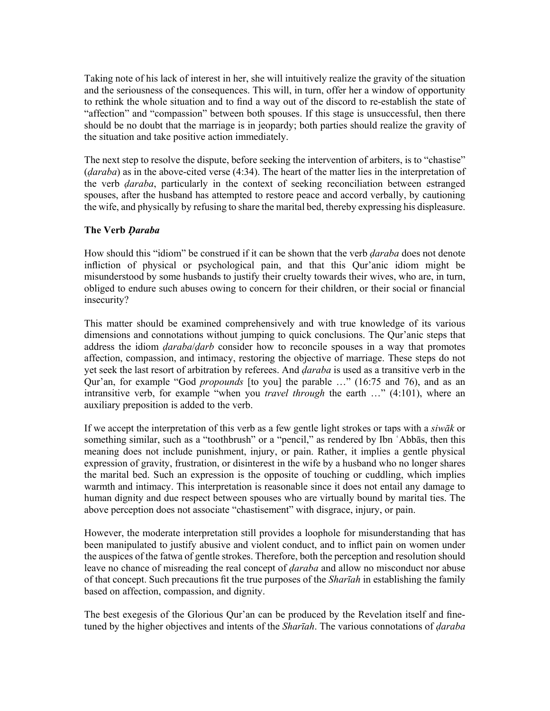Taking note of his lack of interest in her, she will intuitively realize the gravity of the situation and the seriousness of the consequences. This will, in turn, offer her a window of opportunity to rethink the whole situation and to find a way out of the discord to re-establish the state of "affection" and "compassion" between both spouses. If this stage is unsuccessful, then there should be no doubt that the marriage is in jeopardy; both parties should realize the gravity of the situation and take positive action immediately.

The next step to resolve the dispute, before seeking the intervention of arbiters, is to "chastise" (*ḍaraba*) as in the above-cited verse (4:34). The heart of the matter lies in the interpretation of the verb *ḍaraba*, particularly in the context of seeking reconciliation between estranged spouses, after the husband has attempted to restore peace and accord verbally, by cautioning the wife, and physically by refusing to share the marital bed, thereby expressing his displeasure.

### **The Verb** *Ḍaraba*

How should this "idiom" be construed if it can be shown that the verb *ḍaraba* does not denote infliction of physical or psychological pain, and that this Qur'anic idiom might be misunderstood by some husbands to justify their cruelty towards their wives, who are, in turn, obliged to endure such abuses owing to concern for their children, or their social or financial insecurity?

This matter should be examined comprehensively and with true knowledge of its various dimensions and connotations without jumping to quick conclusions. The Qur'anic steps that address the idiom *ḍaraba*/*ḍarb* consider how to reconcile spouses in a way that promotes affection, compassion, and intimacy, restoring the objective of marriage. These steps do not yet seek the last resort of arbitration by referees. And *ḍaraba* is used as a transitive verb in the Qur'an, for example "God *propounds* [to you] the parable …" (16:75 and 76), and as an intransitive verb, for example "when you *travel through* the earth …" (4:101), where an auxiliary preposition is added to the verb.

If we accept the interpretation of this verb as a few gentle light strokes or taps with a *siwāk* or something similar, such as a "toothbrush" or a "pencil," as rendered by Ibn ʿAbbās, then this meaning does not include punishment, injury, or pain. Rather, it implies a gentle physical expression of gravity, frustration, or disinterest in the wife by a husband who no longer shares the marital bed. Such an expression is the opposite of touching or cuddling, which implies warmth and intimacy. This interpretation is reasonable since it does not entail any damage to human dignity and due respect between spouses who are virtually bound by marital ties. The above perception does not associate "chastisement" with disgrace, injury, or pain.

However, the moderate interpretation still provides a loophole for misunderstanding that has been manipulated to justify abusive and violent conduct, and to inflict pain on women under the auspices of the fatwa of gentle strokes. Therefore, both the perception and resolution should leave no chance of misreading the real concept of *ḍaraba* and allow no misconduct nor abuse of that concept. Such precautions fit the true purposes of the *Sharīah* in establishing the family based on affection, compassion, and dignity.

The best exegesis of the Glorious Qur'an can be produced by the Revelation itself and finetuned by the higher objectives and intents of the *Sharīah*. The various connotations of *ḍaraba*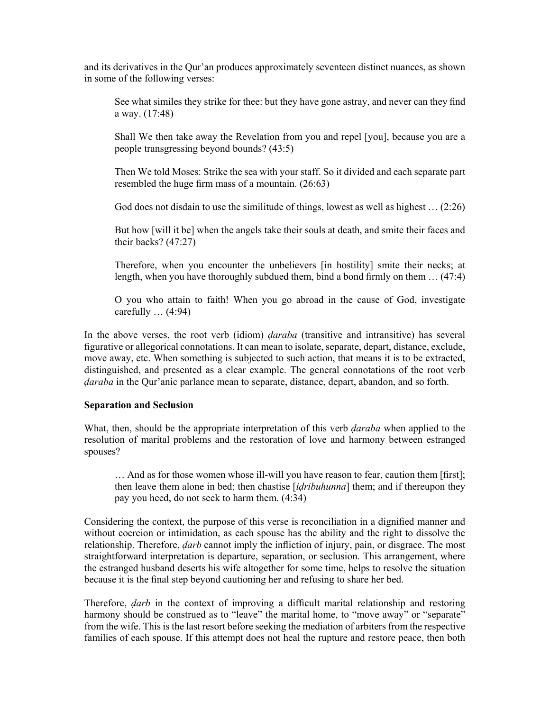and its derivatives in the Qur'an produces approximately seventeen distinct nuances, as shown in some of the following verses:

See what similes they strike for thee: but they have gone astray, and never can they find a way. (17:48)

Shall We then take away the Revelation from you and repel [you], because you are a people transgressing beyond bounds? (43:5)

Then We told Moses: Strike the sea with your staff. So it divided and each separate part resembled the huge firm mass of a mountain. (26:63)

God does not disdain to use the similitude of things, lowest as well as highest … (2:26)

But how [will it be] when the angels take their souls at death, and smite their faces and their backs? (47:27)

Therefore, when you encounter the unbelievers [in hostility] smite their necks; at length, when you have thoroughly subdued them, bind a bond firmly on them … (47:4)

O you who attain to faith! When you go abroad in the cause of God, investigate carefully  $\dots$  (4:94)

In the above verses, the root verb (idiom) *ḍaraba* (transitive and intransitive) has several figurative or allegorical connotations. It can mean to isolate, separate, depart, distance, exclude, move away, etc. When something is subjected to such action, that means it is to be extracted, distinguished, and presented as a clear example. The general connotations of the root verb *ḍaraba* in the Qur'anic parlance mean to separate, distance, depart, abandon, and so forth.

### **Separation and Seclusion**

What, then, should be the appropriate interpretation of this verb *ḍaraba* when applied to the resolution of marital problems and the restoration of love and harmony between estranged spouses?

… And as for those women whose ill-will you have reason to fear, caution them [first]; then leave them alone in bed; then chastise [*iḍribuhunna*] them; and if thereupon they pay you heed, do not seek to harm them. (4:34)

Considering the context, the purpose of this verse is reconciliation in a dignified manner and without coercion or intimidation, as each spouse has the ability and the right to dissolve the relationship. Therefore, *ḍarb* cannot imply the infliction of injury, pain, or disgrace. The most straightforward interpretation is departure, separation, or seclusion. This arrangement, where the estranged husband deserts his wife altogether for some time, helps to resolve the situation because it is the final step beyond cautioning her and refusing to share her bed.

Therefore, *ḍarb* in the context of improving a difficult marital relationship and restoring harmony should be construed as to "leave" the marital home, to "move away" or "separate" from the wife. This is the last resort before seeking the mediation of arbiters from the respective families of each spouse. If this attempt does not heal the rupture and restore peace, then both